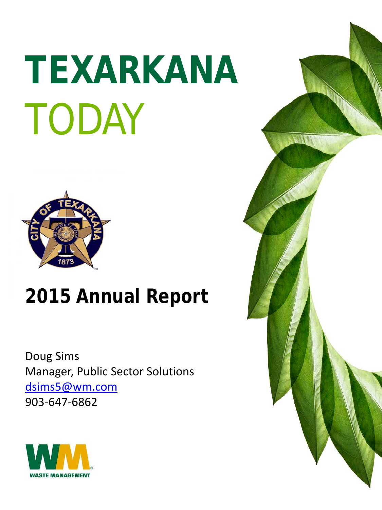# **TEXARKANA** TODAY



# **2015 Annual Report**

Doug Sims Manager, Public Sector Solutions [dsims5@wm.com](mailto:dsims5@wm.com) 903-647-6862



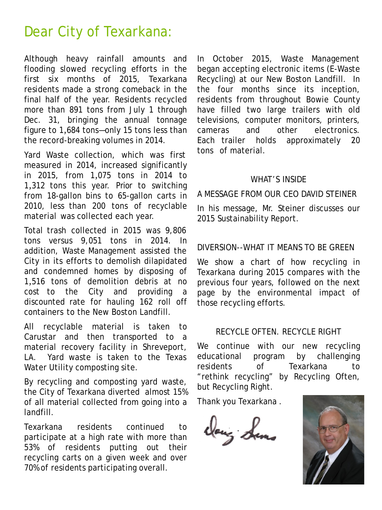### Dear City of Texarkana:

Although heavy rainfall amounts and flooding slowed recycling efforts in the first six months of 2015, Texarkana residents made a strong comeback in the final half of the year. Residents recycled more than 891 tons from July 1 through Dec. 31, bringing the annual tonnage figure to 1,684 tons—only 15 tons less than the record-breaking volumes in 2014.

Yard Waste collection, which was first measured in 2014, increased significantly in 2015, from 1,075 tons in 2014 to 1,312 tons this year. Prior to switching from 18-gallon bins to 65-gallon carts in 2010, less than 200 tons of recyclable material was collected each year.

Total trash collected in 2015 was 9,806 tons versus 9,051 tons in 2014. In addition, Waste Management assisted the City in its efforts to demolish dilapidated and condemned homes by disposing of 1,516 tons of demolition debris at no cost to the City and providing a discounted rate for hauling 162 roll off containers to the New Boston Landfill.

All recyclable material is taken to Carustar and then transported to a material recovery facility in Shreveport, LA. Yard waste is taken to the Texas Water Utility composting site.

By recycling and composting yard waste, the City of Texarkana diverted almost 15% of all material collected from going into a landfill.

Texarkana residents continued to participate at a high rate with more than 53% of residents putting out their recycling carts on a given week and over 70% of residents participating overall.

In October 2015, Waste Management began accepting electronic items (E-Waste Recycling) at our New Boston Landfill. In the four months since its inception, residents from throughout Bowie County have filled two large trailers with old televisions, computer monitors, printers, cameras and other electronics. Each trailer holds approximately 20 tons of material.

#### WHAT'S INSIDE

A MESSAGE FROM OUR CEO DAVID STEINER

In his message, Mr. Steiner discusses our 2015 Sustainability Report.

#### DIVERSION--WHAT IT MEANS TO BE GREEN

We show a chart of how recycling in Texarkana during 2015 compares with the previous four years, followed on the next page by the environmental impact of those recycling efforts.

#### RECYCLE OFTEN. RECYCLE RIGHT

We continue with our new recycling educational program by challenging residents of Texarkana to "rethink recycling" by Recycling Often, but Recycling Right.

Thank you Texarkana .

dang Luns

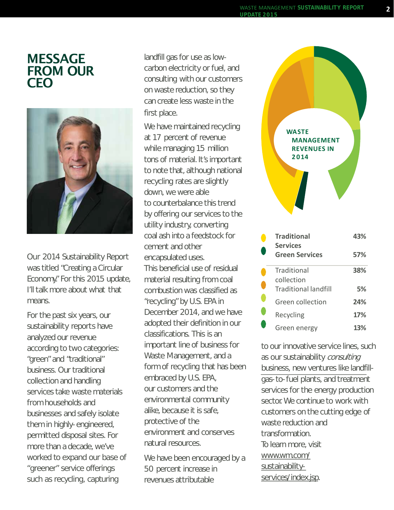#### MESSAGE FROM OUR CEO



Our 2014 Sustainability Report was titled "Creating a Circular Economy." For this 2015 update, I'll talk more about what that means.

For the past six years, our sustainability reports have analyzed our revenue according to two categories: "green" and "traditional" business. Our traditional collection and handling services take waste materials from households and businesses and safely isolate them in highly-engineered, permitted disposal sites. For more than a decade, we've worked to expand our base of "greener" service offerings such as recycling, capturing

landfill gas for use as lowcarbon electricity or fuel, and consulting with our customers on waste reduction, so they can create less waste in the first place.

We have maintained recycling at 17 percent of revenue while managing 15 million tons of material. It's important to note that, although national recycling rates are slightly down, we were able to counterbalance this trend by offering our services to the utility industry, converting coal ash into a feedstock for cement and other encapsulated uses. This beneficial use of residual material resulting from coal combustion was classified as "recycling" by U.S. EPA in December 2014, and we have adopted their definition in our classifications. This is an important line of business for Waste Management, and a form of recycling that has been embraced by U.S. EPA, our customers and the environmental community alike, because it is safe, protective of the environment and conserves natural resources.

We have been encouraged by a 50 percent increase in revenues attributable



to our innovative service lines, such as our sustainability consulting business, new ventures like landfillgas-to-fuel plants, and treatment services for the energy production sector. We continue to work with customers on the cutting edge of waste reduction and transformation. To learn more, visit [www.wm.com/](https://www.wm.com/sustainability-services/index.jsp) [sustainability](https://www.wm.com/sustainability-services/index.jsp)[services/index.jsp](https://www.wm.com/sustainability-services/index.jsp).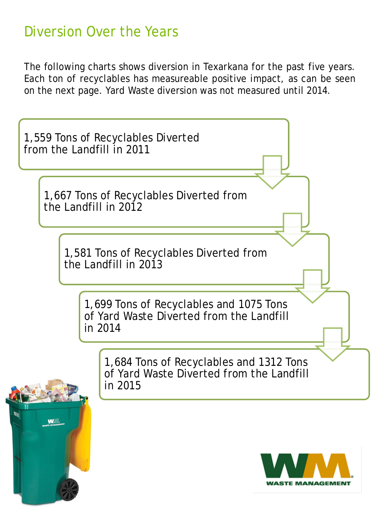## Diversion Over the Years

The following charts shows diversion in Texarkana for the past five years. Each ton of recyclables has measureable positive impact, as can be seen on the next page. Yard Waste diversion was not measured until 2014.



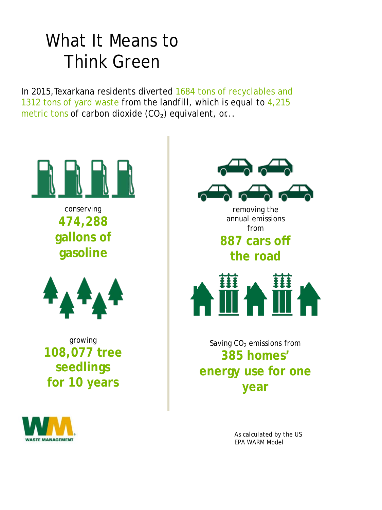## What It Means to Think Green

In 2015, Texarkana residents diverted 1684 tons of recyclables and 1312 tons of yard waste from the landfill, which is equal to 4,215 metric tons of carbon dioxide  $(CO<sub>2</sub>)$  equivalent, or...



conserving **474,288 gallons of gasoline**



growing **108,077 tree seedlings for 10 years**





annual emissions from

## **887 cars off**

**the road**



Saving  $CO<sub>2</sub>$  emissions from **385 homes' energy use for one year**

> *As calculated by the US EPA WARM Model*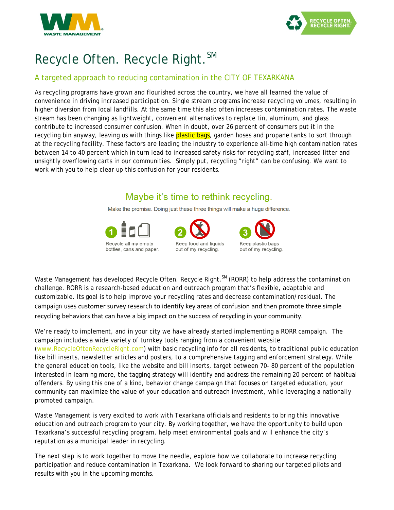



## Recycle Often. Recycle Right. SM

#### A targeted approach to reducing contamination in the CITY OF TEXARKANA

As recycling programs have grown and flourished across the country, we have all learned the value of convenience in driving increased participation. Single stream programs increase recycling volumes, resulting in higher diversion from local landfills. At the same time this also often increases contamination rates. The waste stream has been changing as lightweight, convenient alternatives to replace tin, aluminum, and glass contribute to increased consumer confusion. When in doubt, over 26 percent of consumers put it in the recycling bin anyway, leaving us with things like **plastic bags**, garden hoses and propane tanks to sort through at the recycling facility. These factors are leading the industry to experience all-time high contamination rates between 14 to 40 percent which in turn lead to increased safety risks for recycling staff, increased litter and unsightly overflowing carts in our communities. Simply put, recycling "right" can be confusing. We want to work with you to help clear up this confusion for your residents.

#### Maybe it's time to rethink recycling.

Make the promise. Doing just these three things will make a huge difference.







Waste Management has developed Recycle Often. Recycle Right.<sup>SM</sup> (RORR) to help address the contamination challenge. RORR is a research-based education and outreach program that's flexible, adaptable and customizable. Its goal is to help improve your recycling rates and decrease contamination/residual. The campaign uses customer survey research to identify key areas of confusion and then promote three simple recycling behaviors that can have a big impact on the success of recycling in your community.

We're ready to implement, and in your city we have already started implementing a RORR campaign. The campaign includes a wide variety of turnkey tools ranging from a convenient website [\(www.RecycleOftenRecycleRight.com\)](http://www.recycleoftenrecycleright.com/) with basic recycling info for all residents, to traditional public education like bill inserts, newsletter articles and posters, to a comprehensive tagging and enforcement strategy. While the general education tools, like the website and bill inserts, target between 70- 80 percent of the population interested in learning more, the tagging strategy will identify and address the remaining 20 percent of habitual offenders. By using this one of a kind, behavior change campaign that focuses on targeted education, your community can maximize the value of your education and outreach investment, while leveraging a nationally promoted campaign.

Waste Management is very excited to work with Texarkana officials and residents to bring this innovative education and outreach program to your city. By working together, we have the opportunity to build upon Texarkana's successful recycling program, help meet environmental goals and will enhance the city's reputation as a municipal leader in recycling.

The next step is to work together to move the needle, explore how we collaborate to increase recycling participation and reduce contamination in Texarkana. We look forward to sharing our targeted pilots and results with you in the upcoming months.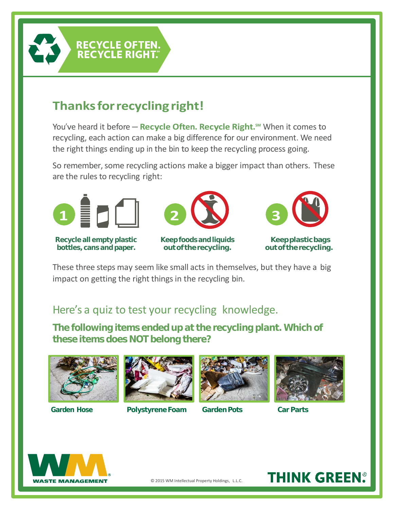

## **Thanksforrecyclingright!**

RECYCLE OFTEN. **RECYCLE RIGHT.** 

You've heard it before – Recycle Often. Recycle Right.<sup>sm</sup> When it comes to recycling, each action can make a big difference for our environment. We need the right things ending up in the bin to keep the recycling process going.

So remember, some recycling actions make a bigger impact than others. These are the rules to recycling right:



**Recycle all empty plastic bottles, cans and paper.**



**Keep foods and liquids outof therecycling.**



**Keepplasticbags outof therecycling.**

These three steps may seem like small acts in themselves, but they have a big impact on getting the right things in the recycling bin.

#### Here's a quiz to test your recycling knowledge.

**The following items ended up at the recycling plant. Which of these items does NOT belong there?**





#### **Garden Hose Polystyrene Foam Garden Pots Car Parts**







## **THINK GREEN®**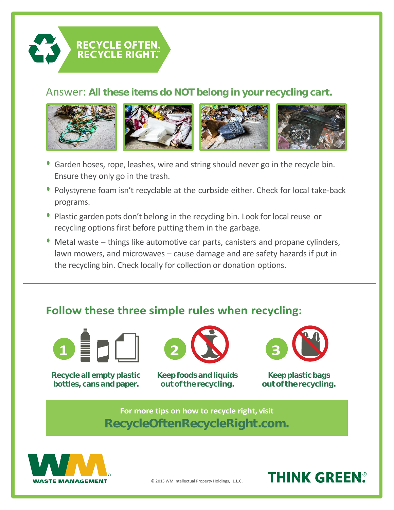

#### Answer: **All these items do NOT belong in your recycling cart.**



- **•** Garden hoses, rope, leashes, wire and string should never go in the recycle bin. Ensure they only go in the trash.
- **•** Polystyrene foam isn't recyclable at the curbside either. Check for local take-back programs.
- **•** Plastic garden pots don't belong in the recycling bin. Look for local reuse or recycling options first before putting them in the garbage.
- **•** Metal waste things like automotive car parts, canisters and propane cylinders, lawn mowers, and microwaves – cause damage and are safety hazards if put in the recycling bin. Check locally for collection or donation options.

#### **Follow these three simple rules when recycling:**



**Recycle all empty plastic Keep foods and liquids Keep plastic bags bottles, cans and paper. out of the recycling. out of the recycling.**





#### **For more tips on how to recycle right, visit RecycleOftenRecycleRight.com.**



© 2015 WM Intellectual Property Holdings, L.L.C.

**THINK GREEN**.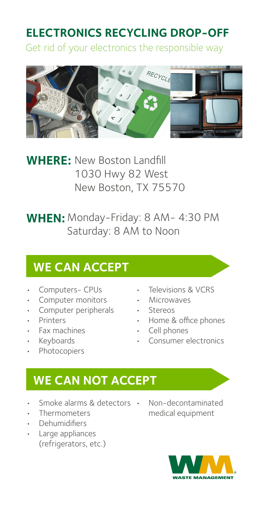#### **ELECTRONICS RECYCLING DROP-OFF**

Get rid of your electronics the responsible way



**WHERE:** New Boston Landfill 1030 Hwy 82 West New Boston, TX 75570

**WHEN:** Monday-Friday: 8 AM- 4:30 PM Saturday: 8 AM to Noon

#### **WE CAN ACCEPT**

- Computers- CPUs
- Computer monitors
- Computer peripherals
- **Printers**
- Fax machines
- Keyboards
- **Photocopiers**
- Televisions & VCRS
- Microwaves
- Stereos
- Home & office phones
- Cell phones
- Consumer electronics

#### **WE CAN NOT ACCEPT**

- Smoke alarms & detectors Non-decontaminated
- Thermometers
- Dehumidifiers
- Large appliances (refrigerators, etc.)
- medical equipment